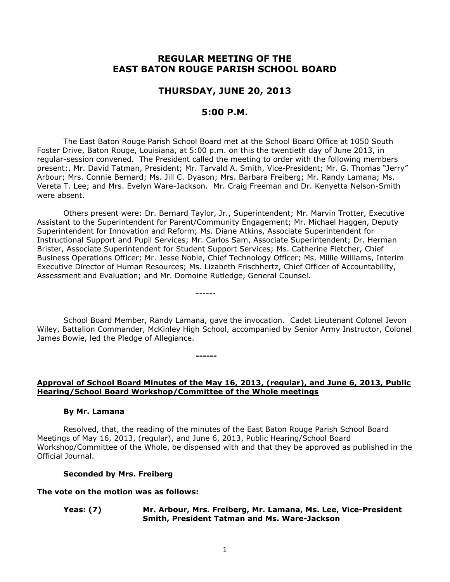# **REGULAR MEETING OF THE EAST BATON ROUGE PARISH SCHOOL BOARD**

# **THURSDAY, JUNE 20, 2013**

# **5:00 P.M.**

The East Baton Rouge Parish School Board met at the School Board Office at 1050 South Foster Drive, Baton Rouge, Louisiana, at 5:00 p.m. on this the twentieth day of June 2013, in regular-session convened. The President called the meeting to order with the following members present:, Mr. David Tatman, President; Mr. Tarvald A. Smith, Vice-President; Mr. G. Thomas "Jerry" Arbour; Mrs. Connie Bernard; Ms. Jill C. Dyason; Mrs. Barbara Freiberg; Mr. Randy Lamana; Ms. Vereta T. Lee; and Mrs. Evelyn Ware-Jackson. Mr. Craig Freeman and Dr. Kenyetta Nelson-Smith were absent.

Others present were: Dr. Bernard Taylor, Jr., Superintendent; Mr. Marvin Trotter, Executive Assistant to the Superintendent for Parent/Community Engagement; Mr. Michael Haggen, Deputy Superintendent for Innovation and Reform; Ms. Diane Atkins, Associate Superintendent for Instructional Support and Pupil Services; Mr. Carlos Sam, Associate Superintendent; Dr. Herman Brister, Associate Superintendent for Student Support Services; Ms. Catherine Fletcher, Chief Business Operations Officer; Mr. Jesse Noble, Chief Technology Officer; Ms. Millie Williams, Interim Executive Director of Human Resources; Ms. Lizabeth Frischhertz, Chief Officer of Accountability, Assessment and Evaluation; and Mr. Domoine Rutledge, General Counsel.

------

**------**

School Board Member, Randy Lamana, gave the invocation. Cadet Lieutenant Colonel Jevon Wiley, Battalion Commander, McKinley High School, accompanied by Senior Army Instructor, Colonel James Bowie, led the Pledge of Allegiance.

#### **Approval of School Board Minutes of the May 16, 2013, (regular), and June 6, 2013, Public Hearing/School Board Workshop/Committee of the Whole meetings**

#### **By Mr. Lamana**

Resolved, that, the reading of the minutes of the East Baton Rouge Parish School Board Meetings of May 16, 2013, (regular), and June 6, 2013, Public Hearing/School Board Workshop/Committee of the Whole, be dispensed with and that they be approved as published in the Official Journal.

#### **Seconded by Mrs. Freiberg**

#### **The vote on the motion was as follows:**

#### **Yeas: (7) Mr. Arbour, Mrs. Freiberg, Mr. Lamana, Ms. Lee, Vice-President Smith, President Tatman and Ms. Ware-Jackson**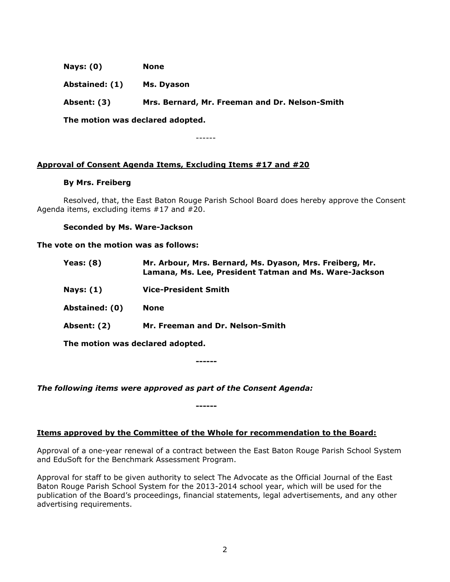**Nays: (0) None**

**Abstained: (1) Ms. Dyason**

**Absent: (3) Mrs. Bernard, Mr. Freeman and Dr. Nelson-Smith**

**The motion was declared adopted.**

------

# **Approval of Consent Agenda Items, Excluding Items #17 and #20**

# **By Mrs. Freiberg**

Resolved, that, the East Baton Rouge Parish School Board does hereby approve the Consent Agenda items, excluding items #17 and #20.

# **Seconded by Ms. Ware-Jackson**

**The vote on the motion was as follows:**

| Yeas: $(8)$    | Mr. Arbour, Mrs. Bernard, Ms. Dyason, Mrs. Freiberg, Mr.<br>Lamana, Ms. Lee, President Tatman and Ms. Ware-Jackson |
|----------------|--------------------------------------------------------------------------------------------------------------------|
| Nays: $(1)$    | <b>Vice-President Smith</b>                                                                                        |
| Abstained: (0) | <b>None</b>                                                                                                        |
| Absent: (2)    | Mr. Freeman and Dr. Nelson-Smith                                                                                   |
|                | The motion was declared adopted.                                                                                   |

**------**

*The following items were approved as part of the Consent Agenda:*

**Items approved by the Committee of the Whole for recommendation to the Board:** 

**------**

Approval of a one-year renewal of a contract between the East Baton Rouge Parish School System and EduSoft for the Benchmark Assessment Program.

Approval for staff to be given authority to select The Advocate as the Official Journal of the East Baton Rouge Parish School System for the 2013-2014 school year, which will be used for the publication of the Board's proceedings, financial statements, legal advertisements, and any other advertising requirements.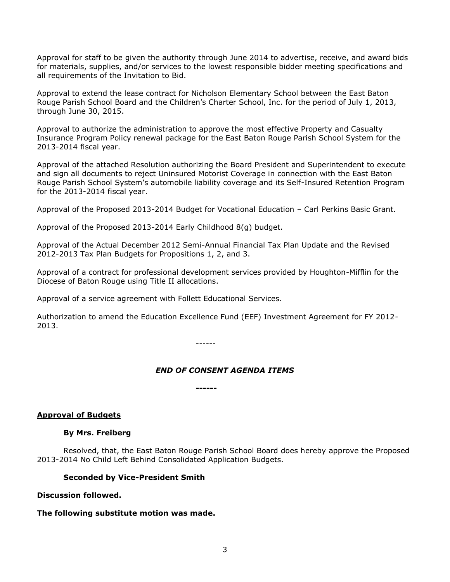Approval for staff to be given the authority through June 2014 to advertise, receive, and award bids for materials, supplies, and/or services to the lowest responsible bidder meeting specifications and all requirements of the Invitation to Bid.

Approval to extend the lease contract for Nicholson Elementary School between the East Baton Rouge Parish School Board and the Children's Charter School, Inc. for the period of July 1, 2013, through June 30, 2015.

Approval to authorize the administration to approve the most effective Property and Casualty Insurance Program Policy renewal package for the East Baton Rouge Parish School System for the 2013-2014 fiscal year.

Approval of the attached Resolution authorizing the Board President and Superintendent to execute and sign all documents to reject Uninsured Motorist Coverage in connection with the East Baton Rouge Parish School System's automobile liability coverage and its Self-Insured Retention Program for the 2013-2014 fiscal year.

Approval of the Proposed 2013-2014 Budget for Vocational Education – Carl Perkins Basic Grant.

Approval of the Proposed 2013-2014 Early Childhood 8(g) budget.

Approval of the Actual December 2012 Semi-Annual Financial Tax Plan Update and the Revised 2012-2013 Tax Plan Budgets for Propositions 1, 2, and 3.

Approval of a contract for professional development services provided by Houghton-Mifflin for the Diocese of Baton Rouge using Title II allocations.

Approval of a service agreement with Follett Educational Services.

Authorization to amend the Education Excellence Fund (EEF) Investment Agreement for FY 2012- 2013.

------

# *END OF CONSENT AGENDA ITEMS*

**------**

# **Approval of Budgets**

# **By Mrs. Freiberg**

Resolved, that, the East Baton Rouge Parish School Board does hereby approve the Proposed 2013-2014 No Child Left Behind Consolidated Application Budgets.

# **Seconded by Vice-President Smith**

# **Discussion followed.**

# **The following substitute motion was made.**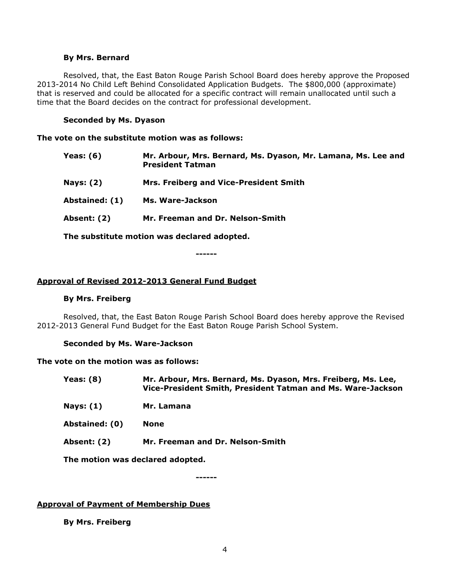#### **By Mrs. Bernard**

Resolved, that, the East Baton Rouge Parish School Board does hereby approve the Proposed 2013-2014 No Child Left Behind Consolidated Application Budgets. The \$800,000 (approximate) that is reserved and could be allocated for a specific contract will remain unallocated until such a time that the Board decides on the contract for professional development.

#### **Seconded by Ms. Dyason**

**The vote on the substitute motion was as follows:**

| <b>Yeas: (6)</b> | Mr. Arbour, Mrs. Bernard, Ms. Dyason, Mr. Lamana, Ms. Lee and<br><b>President Tatman</b> |
|------------------|------------------------------------------------------------------------------------------|
| <b>Nays: (2)</b> | Mrs. Freiberg and Vice-President Smith                                                   |
| Abstained: (1)   | Ms. Ware-Jackson                                                                         |
| Absent: (2)      | Mr. Freeman and Dr. Nelson-Smith                                                         |
|                  |                                                                                          |

**The substitute motion was declared adopted.**

**------**

# **Approval of Revised 2012-2013 General Fund Budget**

#### **By Mrs. Freiberg**

Resolved, that, the East Baton Rouge Parish School Board does hereby approve the Revised 2012-2013 General Fund Budget for the East Baton Rouge Parish School System.

#### **Seconded by Ms. Ware-Jackson**

#### **The vote on the motion was as follows:**

- **Yeas: (8) Mr. Arbour, Mrs. Bernard, Ms. Dyason, Mrs. Freiberg, Ms. Lee, Vice-President Smith, President Tatman and Ms. Ware-Jackson**
- **Nays: (1) Mr. Lamana**
- **Abstained: (0) None**
- **Absent: (2) Mr. Freeman and Dr. Nelson-Smith**

**The motion was declared adopted.**

**------**

# **Approval of Payment of Membership Dues**

**By Mrs. Freiberg**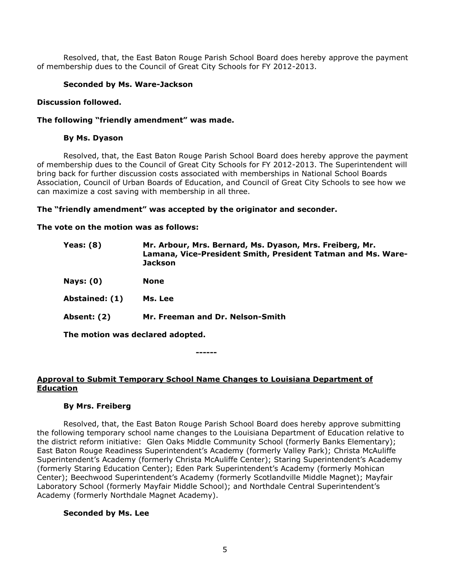Resolved, that, the East Baton Rouge Parish School Board does hereby approve the payment of membership dues to the Council of Great City Schools for FY 2012-2013.

# **Seconded by Ms. Ware-Jackson**

### **Discussion followed.**

### **The following "friendly amendment" was made.**

### **By Ms. Dyason**

Resolved, that, the East Baton Rouge Parish School Board does hereby approve the payment of membership dues to the Council of Great City Schools for FY 2012-2013. The Superintendent will bring back for further discussion costs associated with memberships in National School Boards Association, Council of Urban Boards of Education, and Council of Great City Schools to see how we can maximize a cost saving with membership in all three.

# **The "friendly amendment" was accepted by the originator and seconder.**

#### **The vote on the motion was as follows:**

| <b>Yeas: (8)</b>                 | Mr. Arbour, Mrs. Bernard, Ms. Dyason, Mrs. Freiberg, Mr.<br>Lamana, Vice-President Smith, President Tatman and Ms. Ware-<br><b>Jackson</b> |  |
|----------------------------------|--------------------------------------------------------------------------------------------------------------------------------------------|--|
| <b>Nays: (0)</b>                 | None                                                                                                                                       |  |
| Abstained: (1)                   | Ms. Lee                                                                                                                                    |  |
| <b>Absent: (2)</b>               | Mr. Freeman and Dr. Nelson-Smith                                                                                                           |  |
| The motion was declared adopted. |                                                                                                                                            |  |
|                                  |                                                                                                                                            |  |

**------**

# **Approval to Submit Temporary School Name Changes to Louisiana Department of Education**

#### **By Mrs. Freiberg**

Resolved, that, the East Baton Rouge Parish School Board does hereby approve submitting the following temporary school name changes to the Louisiana Department of Education relative to the district reform initiative: Glen Oaks Middle Community School (formerly Banks Elementary); East Baton Rouge Readiness Superintendent's Academy (formerly Valley Park); Christa McAuliffe Superintendent's Academy (formerly Christa McAuliffe Center); Staring Superintendent's Academy (formerly Staring Education Center); Eden Park Superintendent's Academy (formerly Mohican Center); Beechwood Superintendent's Academy (formerly Scotlandville Middle Magnet); Mayfair Laboratory School (formerly Mayfair Middle School); and Northdale Central Superintendent's Academy (formerly Northdale Magnet Academy).

# **Seconded by Ms. Lee**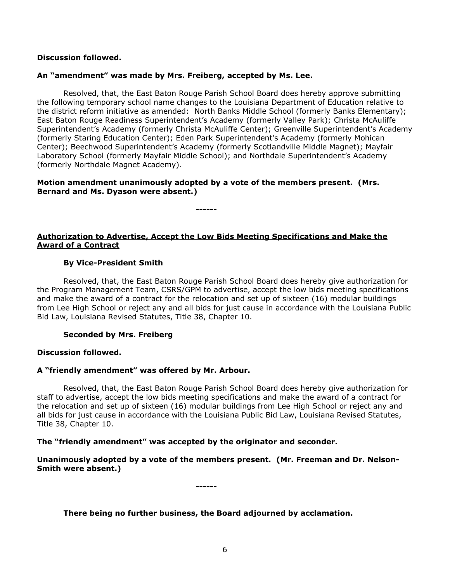# **Discussion followed.**

#### **An "amendment" was made by Mrs. Freiberg, accepted by Ms. Lee.**

Resolved, that, the East Baton Rouge Parish School Board does hereby approve submitting the following temporary school name changes to the Louisiana Department of Education relative to the district reform initiative as amended: North Banks Middle School (formerly Banks Elementary); East Baton Rouge Readiness Superintendent's Academy (formerly Valley Park); Christa McAuliffe Superintendent's Academy (formerly Christa McAuliffe Center); Greenville Superintendent's Academy (formerly Staring Education Center); Eden Park Superintendent's Academy (formerly Mohican Center); Beechwood Superintendent's Academy (formerly Scotlandville Middle Magnet); Mayfair Laboratory School (formerly Mayfair Middle School); and Northdale Superintendent's Academy (formerly Northdale Magnet Academy).

# **Motion amendment unanimously adopted by a vote of the members present. (Mrs. Bernard and Ms. Dyason were absent.)**

**------**

**Authorization to Advertise, Accept the Low Bids Meeting Specifications and Make the Award of a Contract**

#### **By Vice-President Smith**

Resolved, that, the East Baton Rouge Parish School Board does hereby give authorization for the Program Management Team, CSRS/GPM to advertise, accept the low bids meeting specifications and make the award of a contract for the relocation and set up of sixteen (16) modular buildings from Lee High School or reject any and all bids for just cause in accordance with the Louisiana Public Bid Law, Louisiana Revised Statutes, Title 38, Chapter 10.

#### **Seconded by Mrs. Freiberg**

# **Discussion followed.**

# **A "friendly amendment" was offered by Mr. Arbour.**

Resolved, that, the East Baton Rouge Parish School Board does hereby give authorization for staff to advertise, accept the low bids meeting specifications and make the award of a contract for the relocation and set up of sixteen (16) modular buildings from Lee High School or reject any and all bids for just cause in accordance with the Louisiana Public Bid Law, Louisiana Revised Statutes, Title 38, Chapter 10.

#### **The "friendly amendment" was accepted by the originator and seconder.**

**Unanimously adopted by a vote of the members present. (Mr. Freeman and Dr. Nelson-Smith were absent.)**

**------**

# **There being no further business, the Board adjourned by acclamation.**